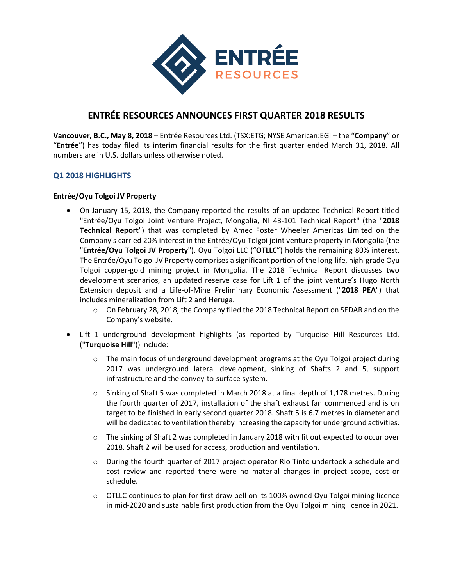

# **ENTRÉE RESOURCES ANNOUNCES FIRST QUARTER 2018 RESULTS**

**Vancouver, B.C., May 8, 2018** – Entrée Resources Ltd. (TSX:ETG; NYSE American:EGI – the "**Company**" or "**Entrée**") has today filed its interim financial results for the first quarter ended March 31, 2018. All numbers are in U.S. dollars unless otherwise noted.

# **Q1 2018 HIGHLIGHTS**

#### **Entrée/Oyu Tolgoi JV Property**

- On January 15, 2018, the Company reported the results of an updated Technical Report titled "Entrée/Oyu Tolgoi Joint Venture Project, Mongolia, NI 43-101 Technical Report" (the "**2018 Technical Report**") that was completed by Amec Foster Wheeler Americas Limited on the Company's carried 20% interest in the Entrée/Oyu Tolgoi joint venture property in Mongolia (the "**Entrée/Oyu Tolgoi JV Property**"). Oyu Tolgoi LLC ("**OTLLC**") holds the remaining 80% interest. The Entrée/Oyu Tolgoi JV Property comprises a significant portion of the long-life, high-grade Oyu Tolgoi copper-gold mining project in Mongolia. The 2018 Technical Report discusses two development scenarios, an updated reserve case for Lift 1 of the joint venture's Hugo North Extension deposit and a Life-of-Mine Preliminary Economic Assessment ("**2018 PEA**") that includes mineralization from Lift 2 and Heruga.
	- $\circ$  On February 28, 2018, the Company filed the 2018 Technical Report on SEDAR and on the Company's website.
- Lift 1 underground development highlights (as reported by Turquoise Hill Resources Ltd. ("**Turquoise Hill**")) include:
	- $\circ$  The main focus of underground development programs at the Oyu Tolgoi project during 2017 was underground lateral development, sinking of Shafts 2 and 5, support infrastructure and the convey-to-surface system.
	- o Sinking of Shaft 5 was completed in March 2018 at a final depth of 1,178 metres. During the fourth quarter of 2017, installation of the shaft exhaust fan commenced and is on target to be finished in early second quarter 2018. Shaft 5 is 6.7 metres in diameter and will be dedicated to ventilation thereby increasing the capacity for underground activities.
	- o The sinking of Shaft 2 was completed in January 2018 with fit out expected to occur over 2018. Shaft 2 will be used for access, production and ventilation.
	- o During the fourth quarter of 2017 project operator Rio Tinto undertook a schedule and cost review and reported there were no material changes in project scope, cost or schedule.
	- o OTLLC continues to plan for first draw bell on its 100% owned Oyu Tolgoi mining licence in mid-2020 and sustainable first production from the Oyu Tolgoi mining licence in 2021.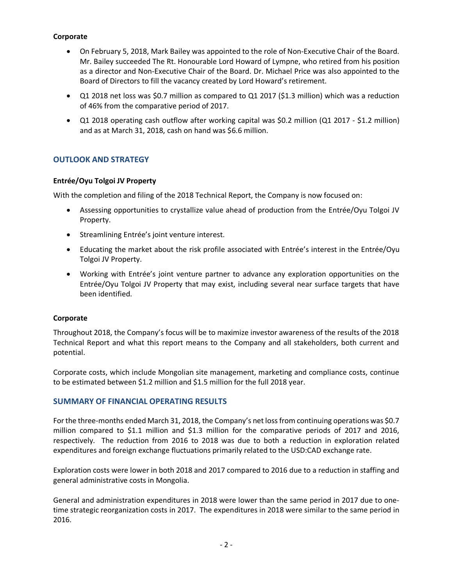## **Corporate**

- On February 5, 2018, Mark Bailey was appointed to the role of Non-Executive Chair of the Board. Mr. Bailey succeeded The Rt. Honourable Lord Howard of Lympne, who retired from his position as a director and Non-Executive Chair of the Board. Dr. Michael Price was also appointed to the Board of Directors to fill the vacancy created by Lord Howard's retirement.
- Q1 2018 net loss was \$0.7 million as compared to Q1 2017 (\$1.3 million) which was a reduction of 46% from the comparative period of 2017.
- Q1 2018 operating cash outflow after working capital was \$0.2 million (Q1 2017 \$1.2 million) and as at March 31, 2018, cash on hand was \$6.6 million.

# **OUTLOOK AND STRATEGY**

## **Entrée/Oyu Tolgoi JV Property**

With the completion and filing of the 2018 Technical Report, the Company is now focused on:

- Assessing opportunities to crystallize value ahead of production from the Entrée/Oyu Tolgoi JV Property.
- Streamlining Entrée's joint venture interest.
- Educating the market about the risk profile associated with Entrée's interest in the Entrée/Oyu Tolgoi JV Property.
- Working with Entrée's joint venture partner to advance any exploration opportunities on the Entrée/Oyu Tolgoi JV Property that may exist, including several near surface targets that have been identified.

#### **Corporate**

Throughout 2018, the Company's focus will be to maximize investor awareness of the results of the 2018 Technical Report and what this report means to the Company and all stakeholders, both current and potential.

Corporate costs, which include Mongolian site management, marketing and compliance costs, continue to be estimated between \$1.2 million and \$1.5 million for the full 2018 year.

# **SUMMARY OF FINANCIAL OPERATING RESULTS**

For the three-months ended March 31, 2018, the Company's net loss from continuing operations was \$0.7 million compared to \$1.1 million and \$1.3 million for the comparative periods of 2017 and 2016, respectively. The reduction from 2016 to 2018 was due to both a reduction in exploration related expenditures and foreign exchange fluctuations primarily related to the USD:CAD exchange rate.

Exploration costs were lower in both 2018 and 2017 compared to 2016 due to a reduction in staffing and general administrative costs in Mongolia.

General and administration expenditures in 2018 were lower than the same period in 2017 due to onetime strategic reorganization costs in 2017. The expenditures in 2018 were similar to the same period in 2016.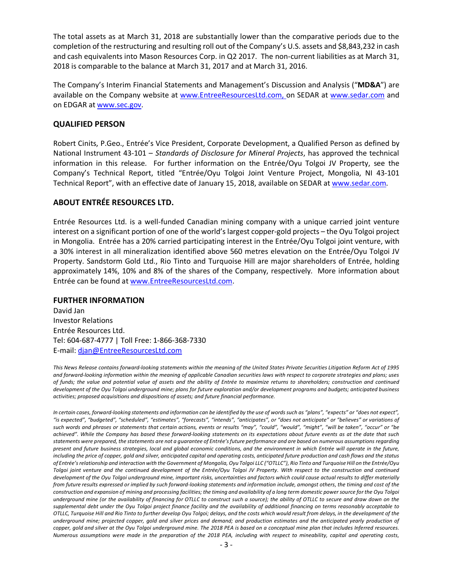The total assets as at March 31, 2018 are substantially lower than the comparative periods due to the completion of the restructuring and resulting roll out of the Company's U.S. assets and \$8,843,232 in cash and cash equivalents into Mason Resources Corp. in Q2 2017. The non-current liabilities as at March 31, 2018 is comparable to the balance at March 31, 2017 and at March 31, 2016.

The Company's Interim Financial Statements and Management's Discussion and Analysis ("**MD&A**") are available on the Company website at www.EntreeResourcesLtd.com, on SEDAR at www.sedar.com and on EDGAR at www.sec.gov.

## **QUALIFIED PERSON**

Robert Cinits, P.Geo., Entrée's Vice President, Corporate Development, a Qualified Person as defined by National Instrument 43-101 – *Standards of Disclosure for Mineral Projects*, has approved the technical information in this release. For further information on the Entrée/Oyu Tolgoi JV Property, see the Company's Technical Report, titled "Entrée/Oyu Tolgoi Joint Venture Project, Mongolia, NI 43-101 Technical Report", with an effective date of January 15, 2018, available on SEDAR at www.sedar.com.

# **ABOUT ENTRÉE RESOURCES LTD.**

Entrée Resources Ltd. is a well-funded Canadian mining company with a unique carried joint venture interest on a significant portion of one of the world's largest copper-gold projects – the Oyu Tolgoi project in Mongolia. Entrée has a 20% carried participating interest in the Entrée/Oyu Tolgoi joint venture, with a 30% interest in all mineralization identified above 560 metres elevation on the Entrée/Oyu Tolgoi JV Property. Sandstorm Gold Ltd., Rio Tinto and Turquoise Hill are major shareholders of Entrée, holding approximately 14%, 10% and 8% of the shares of the Company, respectively. More information about Entrée can be found at www.EntreeResourcesLtd.com.

#### **FURTHER INFORMATION**

David Jan Investor Relations Entrée Resources Ltd. Tel: 604-687-4777 | Toll Free: 1-866-368-7330 E-mail: djan@EntreeResourcesLtd.com

*This News Release contains forward-looking statements within the meaning of the United States Private Securities Litigation Reform Act of 1995 and forward-looking information within the meaning of applicable Canadian securities laws with respect to corporate strategies and plans; uses of funds; the value and potential value of assets and the ability of Entrée to maximize returns to shareholders; construction and continued development of the Oyu Tolgoi underground mine; plans for future exploration and/or development programs and budgets; anticipated business activities; proposed acquisitions and dispositions of assets; and future financial performance.*

*In certain cases, forward-looking statements and information can be identified by the use of words such as "plans", "expects" or "does not expect", "is expected", "budgeted", "scheduled", "estimates", "forecasts", "intends", "anticipates", or "does not anticipate" or "believes" or variations of such words and phrases or statements that certain actions, events or results "may", "could", "would", "might", "will be taken", "occur" or "be achieved". While the Company has based these forward-looking statements on its expectations about future events as at the date that such statements were prepared, the statements are not a guarantee of Entrée's future performance and are based on numerous assumptions regarding present and future business strategies, local and global economic conditions, and the environment in which Entrée will operate in the future, including the price of copper, gold and silver, anticipated capital and operating costs, anticipated future production and cash flows and the status of Entrée's relationship and interaction with the Government of Mongolia, Oyu Tolgoi LLC ("OTLLC"), Rio Tinto and Turquoise Hill on the Entrée/Oyu Tolgoi joint venture and the continued development of the Entrée/Oyu Tolgoi JV Property. With respect to the construction and continued development of the Oyu Tolgoi underground mine, important risks, uncertainties and factors which could cause actual results to differ materially from future results expressed or implied by such forward-looking statements and information include, amongst others, the timing and cost of the construction and expansion of mining and processing facilities; the timing and availability of a long term domestic power source for the Oyu Tolgoi underground mine (or the availability of financing for OTLLC to construct such a source); the ability of OTLLC to secure and draw down on the supplemental debt under the Oyu Tolgoi project finance facility and the availability of additional financing on terms reasonably acceptable to OTLLC, Turquoise Hill and Rio Tinto to further develop Oyu Tolgoi; delays, and the costs which would result from delays, in the development of the underground mine; projected copper, gold and silver prices and demand; and production estimates and the anticipated yearly production of copper, gold and silver at the Oyu Tolgoi underground mine. The 2018 PEA is based on a conceptual mine plan that includes Inferred resources. Numerous assumptions were made in the preparation of the 2018 PEA, including with respect to mineability, capital and operating costs,*